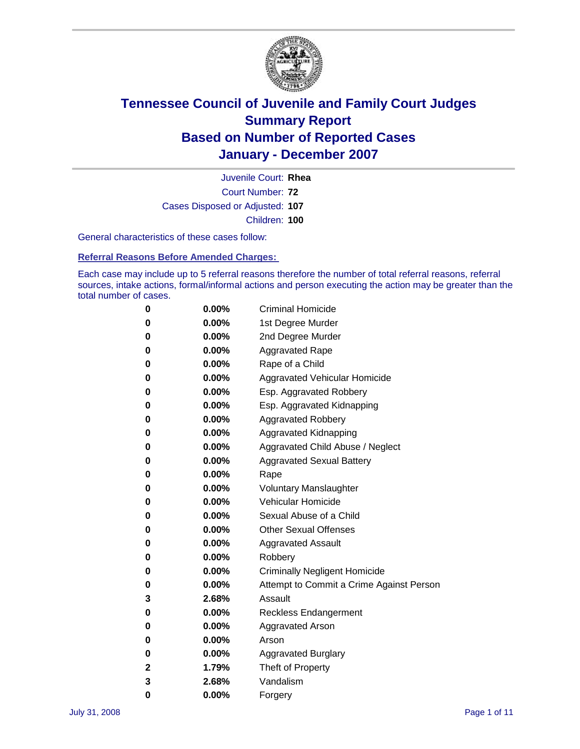

Court Number: **72** Juvenile Court: **Rhea** Cases Disposed or Adjusted: **107** Children: **100**

General characteristics of these cases follow:

**Referral Reasons Before Amended Charges:** 

Each case may include up to 5 referral reasons therefore the number of total referral reasons, referral sources, intake actions, formal/informal actions and person executing the action may be greater than the total number of cases.

| 0 | $0.00\%$ | <b>Criminal Homicide</b>                 |
|---|----------|------------------------------------------|
| 0 | 0.00%    | 1st Degree Murder                        |
| 0 | $0.00\%$ | 2nd Degree Murder                        |
| 0 | $0.00\%$ | <b>Aggravated Rape</b>                   |
| 0 | $0.00\%$ | Rape of a Child                          |
| 0 | 0.00%    | Aggravated Vehicular Homicide            |
| 0 | 0.00%    | Esp. Aggravated Robbery                  |
| 0 | $0.00\%$ | Esp. Aggravated Kidnapping               |
| 0 | $0.00\%$ | <b>Aggravated Robbery</b>                |
| 0 | $0.00\%$ | Aggravated Kidnapping                    |
| 0 | $0.00\%$ | Aggravated Child Abuse / Neglect         |
| 0 | $0.00\%$ | <b>Aggravated Sexual Battery</b>         |
| 0 | 0.00%    | Rape                                     |
| 0 | $0.00\%$ | <b>Voluntary Manslaughter</b>            |
| 0 | $0.00\%$ | Vehicular Homicide                       |
| 0 | 0.00%    | Sexual Abuse of a Child                  |
| 0 | $0.00\%$ | <b>Other Sexual Offenses</b>             |
| 0 | $0.00\%$ | <b>Aggravated Assault</b>                |
| 0 | $0.00\%$ | Robbery                                  |
| 0 | $0.00\%$ | <b>Criminally Negligent Homicide</b>     |
| 0 | $0.00\%$ | Attempt to Commit a Crime Against Person |
| 3 | 2.68%    | Assault                                  |
| 0 | 0.00%    | Reckless Endangerment                    |
| 0 | $0.00\%$ | <b>Aggravated Arson</b>                  |
| 0 | $0.00\%$ | Arson                                    |
| 0 | $0.00\%$ | <b>Aggravated Burglary</b>               |
| 2 | 1.79%    | Theft of Property                        |
| 3 | 2.68%    | Vandalism                                |
| 0 | 0.00%    | Forgery                                  |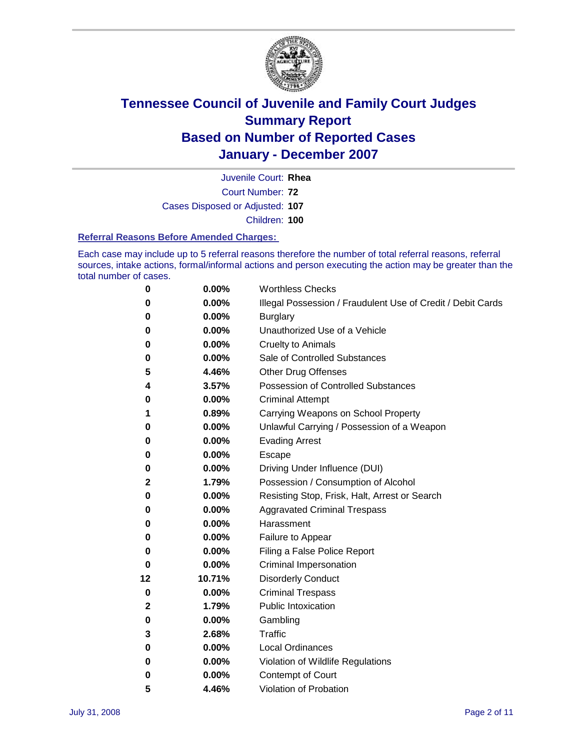

Court Number: **72** Juvenile Court: **Rhea** Cases Disposed or Adjusted: **107** Children: **100**

#### **Referral Reasons Before Amended Charges:**

Each case may include up to 5 referral reasons therefore the number of total referral reasons, referral sources, intake actions, formal/informal actions and person executing the action may be greater than the total number of cases.

| 0  | 0.00%    | <b>Worthless Checks</b>                                     |
|----|----------|-------------------------------------------------------------|
| 0  | 0.00%    | Illegal Possession / Fraudulent Use of Credit / Debit Cards |
| 0  | 0.00%    | <b>Burglary</b>                                             |
| 0  | $0.00\%$ | Unauthorized Use of a Vehicle                               |
| 0  | 0.00%    | <b>Cruelty to Animals</b>                                   |
| 0  | 0.00%    | Sale of Controlled Substances                               |
| 5  | 4.46%    | Other Drug Offenses                                         |
| 4  | 3.57%    | Possession of Controlled Substances                         |
| 0  | 0.00%    | <b>Criminal Attempt</b>                                     |
| 1  | 0.89%    | Carrying Weapons on School Property                         |
| 0  | 0.00%    | Unlawful Carrying / Possession of a Weapon                  |
| 0  | $0.00\%$ | <b>Evading Arrest</b>                                       |
| 0  | 0.00%    | Escape                                                      |
| 0  | 0.00%    | Driving Under Influence (DUI)                               |
| 2  | 1.79%    | Possession / Consumption of Alcohol                         |
| 0  | 0.00%    | Resisting Stop, Frisk, Halt, Arrest or Search               |
| 0  | 0.00%    | <b>Aggravated Criminal Trespass</b>                         |
| 0  | 0.00%    | Harassment                                                  |
| 0  | 0.00%    | Failure to Appear                                           |
| 0  | 0.00%    | Filing a False Police Report                                |
| 0  | $0.00\%$ | Criminal Impersonation                                      |
| 12 | 10.71%   | <b>Disorderly Conduct</b>                                   |
| 0  | $0.00\%$ | <b>Criminal Trespass</b>                                    |
| 2  | 1.79%    | <b>Public Intoxication</b>                                  |
| 0  | 0.00%    | Gambling                                                    |
| 3  | 2.68%    | Traffic                                                     |
| 0  | 0.00%    | <b>Local Ordinances</b>                                     |
| 0  | 0.00%    | Violation of Wildlife Regulations                           |
| 0  | $0.00\%$ | Contempt of Court                                           |
| 5  | 4.46%    | Violation of Probation                                      |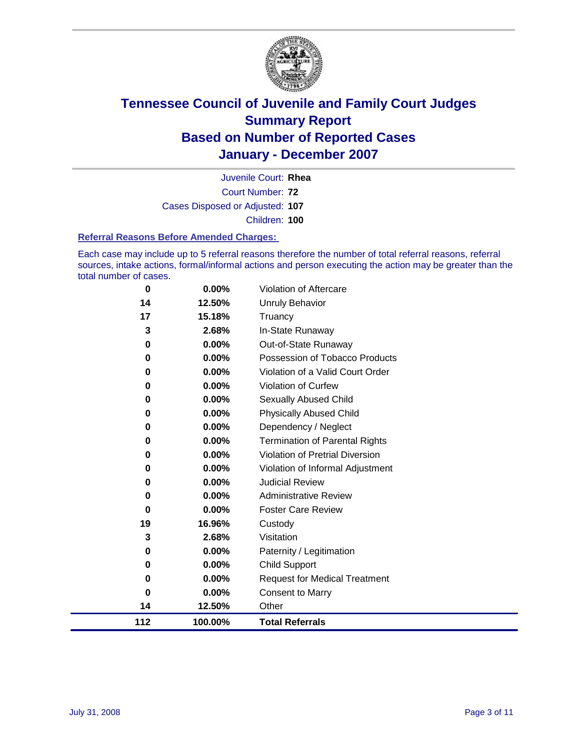

Court Number: **72** Juvenile Court: **Rhea** Cases Disposed or Adjusted: **107** Children: **100**

#### **Referral Reasons Before Amended Charges:**

Each case may include up to 5 referral reasons therefore the number of total referral reasons, referral sources, intake actions, formal/informal actions and person executing the action may be greater than the total number of cases.

| 0   | 0.00%    | Violation of Aftercare                 |
|-----|----------|----------------------------------------|
| 14  | 12.50%   | Unruly Behavior                        |
| 17  | 15.18%   | Truancy                                |
| 3   | 2.68%    | In-State Runaway                       |
| 0   | 0.00%    | Out-of-State Runaway                   |
| 0   | $0.00\%$ | Possession of Tobacco Products         |
| 0   | $0.00\%$ | Violation of a Valid Court Order       |
| 0   | 0.00%    | Violation of Curfew                    |
| 0   | $0.00\%$ | <b>Sexually Abused Child</b>           |
| 0   | 0.00%    | <b>Physically Abused Child</b>         |
| 0   | $0.00\%$ | Dependency / Neglect                   |
| 0   | 0.00%    | <b>Termination of Parental Rights</b>  |
| 0   | $0.00\%$ | <b>Violation of Pretrial Diversion</b> |
| 0   | 0.00%    | Violation of Informal Adjustment       |
| 0   | $0.00\%$ | <b>Judicial Review</b>                 |
| 0   | $0.00\%$ | <b>Administrative Review</b>           |
| 0   | $0.00\%$ | <b>Foster Care Review</b>              |
| 19  | 16.96%   | Custody                                |
| 3   | 2.68%    | Visitation                             |
| 0   | $0.00\%$ | Paternity / Legitimation               |
| 0   | $0.00\%$ | Child Support                          |
| 0   | $0.00\%$ | <b>Request for Medical Treatment</b>   |
| 0   | 0.00%    | <b>Consent to Marry</b>                |
| 14  | 12.50%   | Other                                  |
| 112 | 100.00%  | <b>Total Referrals</b>                 |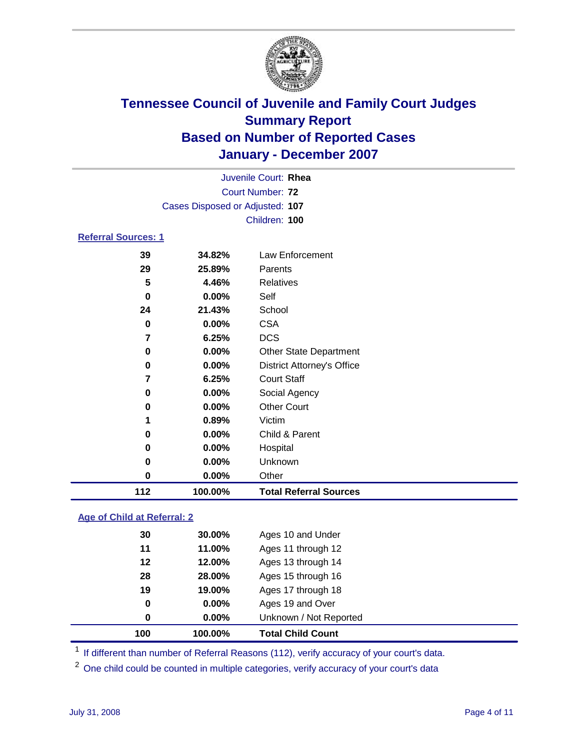

|                            |    |                                 | Juvenile Court: Rhea |
|----------------------------|----|---------------------------------|----------------------|
|                            |    |                                 | Court Number: 72     |
|                            |    | Cases Disposed or Adjusted: 107 |                      |
|                            |    |                                 | Children: 100        |
| <b>Referral Sources: 1</b> |    |                                 |                      |
|                            | 39 | 34.82%                          | Law Enforcement      |
|                            | 29 | 25.89%                          | Parents              |
|                            | 5  | 4.46%                           | Relatives            |
|                            | 0  | $0.00\%$                        | Self                 |
|                            |    |                                 |                      |

| 5  | 4.46%    | Relatives                         |
|----|----------|-----------------------------------|
| 0  | 0.00%    | Self                              |
| 24 | 21.43%   | School                            |
| 0  | $0.00\%$ | <b>CSA</b>                        |
| 7  | 6.25%    | <b>DCS</b>                        |
| 0  | 0.00%    | <b>Other State Department</b>     |
| 0  | 0.00%    | <b>District Attorney's Office</b> |
| 7  | 6.25%    | <b>Court Staff</b>                |
| 0  | 0.00%    | Social Agency                     |
| 0  | $0.00\%$ | <b>Other Court</b>                |
| 1  | 0.89%    | Victim                            |
| 0  | 0.00%    | Child & Parent                    |
| 0  | $0.00\%$ | Hospital                          |
| 0  | 0.00%    | Unknown                           |

**0.00%** Other

**100.00% Total Referral Sources**

### **Age of Child at Referral: 2**

| 100 | 100.00% | <b>Total Child Count</b> |
|-----|---------|--------------------------|
| 0   | 0.00%   | Unknown / Not Reported   |
| 0   | 0.00%   | Ages 19 and Over         |
| 19  | 19.00%  | Ages 17 through 18       |
| 28  | 28.00%  | Ages 15 through 16       |
| 12  | 12.00%  | Ages 13 through 14       |
| 11  | 11.00%  | Ages 11 through 12       |
| 30  | 30.00%  | Ages 10 and Under        |
|     |         |                          |

<sup>1</sup> If different than number of Referral Reasons (112), verify accuracy of your court's data.

<sup>2</sup> One child could be counted in multiple categories, verify accuracy of your court's data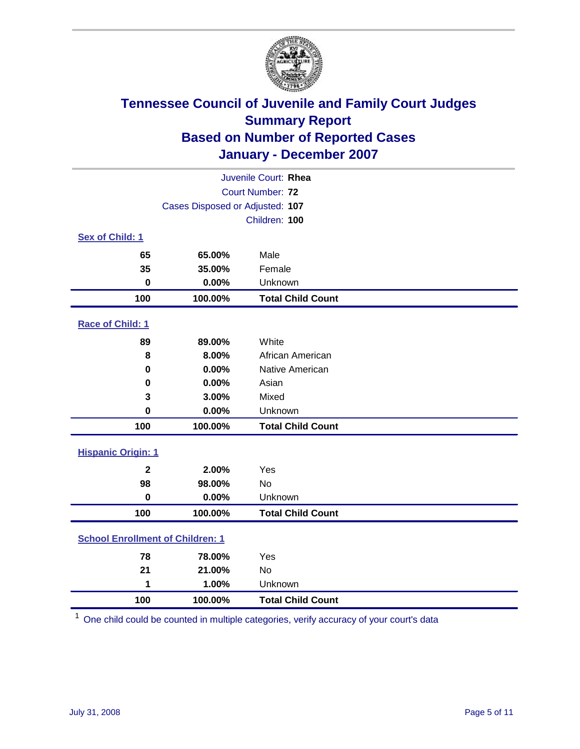

| Juvenile Court: Rhea                    |                                 |                          |  |  |  |
|-----------------------------------------|---------------------------------|--------------------------|--|--|--|
|                                         | Court Number: 72                |                          |  |  |  |
|                                         | Cases Disposed or Adjusted: 107 |                          |  |  |  |
|                                         |                                 | Children: 100            |  |  |  |
| Sex of Child: 1                         |                                 |                          |  |  |  |
| 65                                      | 65.00%                          | Male                     |  |  |  |
| 35                                      | 35.00%                          | Female                   |  |  |  |
| $\bf{0}$                                | 0.00%                           | Unknown                  |  |  |  |
| 100                                     | 100.00%                         | <b>Total Child Count</b> |  |  |  |
| <b>Race of Child: 1</b>                 |                                 |                          |  |  |  |
| 89                                      | 89.00%                          | White                    |  |  |  |
| 8                                       | 8.00%                           | African American         |  |  |  |
| 0                                       | 0.00%                           | Native American          |  |  |  |
| 0                                       | 0.00%                           | Asian                    |  |  |  |
| 3                                       | 3.00%                           | Mixed                    |  |  |  |
| $\pmb{0}$                               | 0.00%                           | Unknown                  |  |  |  |
| 100                                     | 100.00%                         | <b>Total Child Count</b> |  |  |  |
| <b>Hispanic Origin: 1</b>               |                                 |                          |  |  |  |
| $\overline{\mathbf{2}}$                 | 2.00%                           | Yes                      |  |  |  |
| 98                                      | 98.00%                          | No                       |  |  |  |
| $\mathbf 0$                             | 0.00%                           | Unknown                  |  |  |  |
| 100                                     | 100.00%                         | <b>Total Child Count</b> |  |  |  |
| <b>School Enrollment of Children: 1</b> |                                 |                          |  |  |  |
| 78                                      | 78.00%                          | Yes                      |  |  |  |
| 21                                      | 21.00%                          | No                       |  |  |  |
| 1                                       | 1.00%                           | Unknown                  |  |  |  |
| 100                                     | 100.00%                         | <b>Total Child Count</b> |  |  |  |

One child could be counted in multiple categories, verify accuracy of your court's data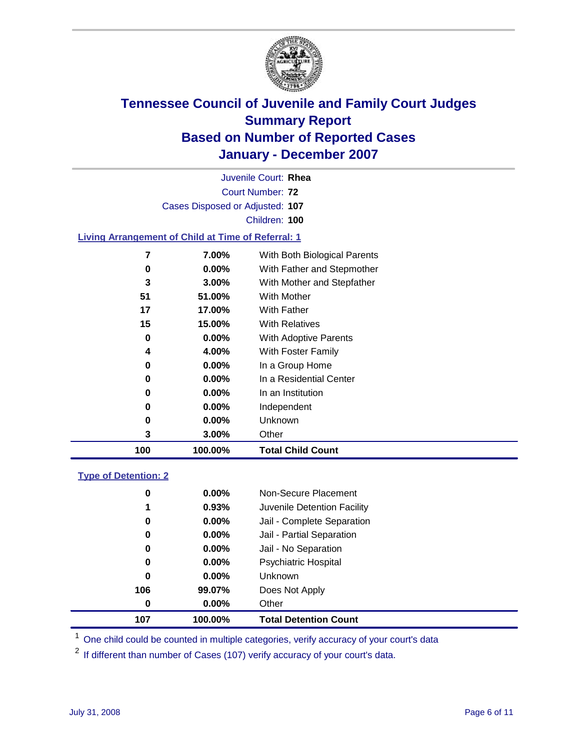

Court Number: **72** Juvenile Court: **Rhea** Cases Disposed or Adjusted: **107** Children: **100**

### **Living Arrangement of Child at Time of Referral: 1**

| 100 | 100.00%  | <b>Total Child Count</b>     |  |
|-----|----------|------------------------------|--|
| 3   | 3.00%    | Other                        |  |
| 0   | $0.00\%$ | Unknown                      |  |
| 0   | $0.00\%$ | Independent                  |  |
| 0   | $0.00\%$ | In an Institution            |  |
| 0   | $0.00\%$ | In a Residential Center      |  |
| 0   | $0.00\%$ | In a Group Home              |  |
| 4   | 4.00%    | With Foster Family           |  |
| 0   | $0.00\%$ | With Adoptive Parents        |  |
| 15  | 15.00%   | <b>With Relatives</b>        |  |
| 17  | 17.00%   | <b>With Father</b>           |  |
| 51  | 51.00%   | With Mother                  |  |
| 3   | $3.00\%$ | With Mother and Stepfather   |  |
| 0   | $0.00\%$ | With Father and Stepmother   |  |
| 7   | 7.00%    | With Both Biological Parents |  |
|     |          |                              |  |

#### **Type of Detention: 2**

| 107 | 100.00%  | <b>Total Detention Count</b> |  |
|-----|----------|------------------------------|--|
| 0   | 0.00%    | Other                        |  |
| 106 | 99.07%   | Does Not Apply               |  |
| 0   | $0.00\%$ | <b>Unknown</b>               |  |
| 0   | $0.00\%$ | Psychiatric Hospital         |  |
| 0   | $0.00\%$ | Jail - No Separation         |  |
| 0   | $0.00\%$ | Jail - Partial Separation    |  |
| 0   | 0.00%    | Jail - Complete Separation   |  |
| 1   | 0.93%    | Juvenile Detention Facility  |  |
| 0   | $0.00\%$ | Non-Secure Placement         |  |
|     |          |                              |  |

<sup>1</sup> One child could be counted in multiple categories, verify accuracy of your court's data

<sup>2</sup> If different than number of Cases (107) verify accuracy of your court's data.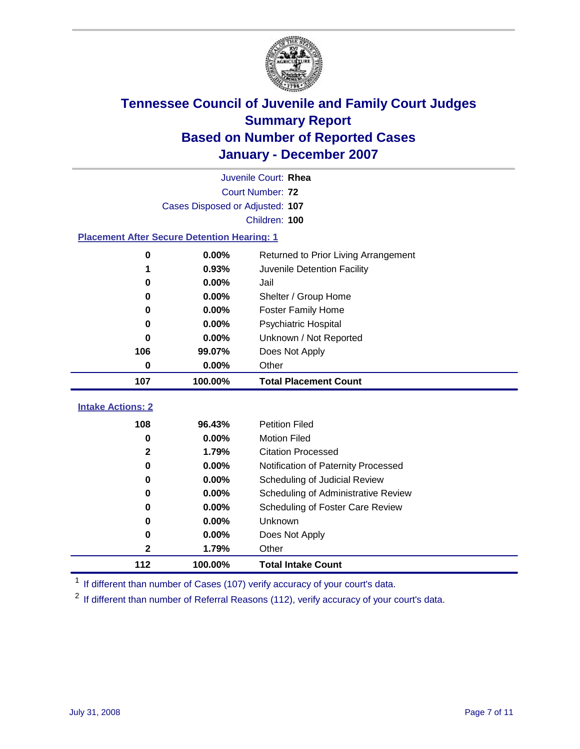

|                                                    | Juvenile Court: Rhea            |                                      |  |  |  |
|----------------------------------------------------|---------------------------------|--------------------------------------|--|--|--|
|                                                    | Court Number: 72                |                                      |  |  |  |
|                                                    | Cases Disposed or Adjusted: 107 |                                      |  |  |  |
|                                                    |                                 | Children: 100                        |  |  |  |
| <b>Placement After Secure Detention Hearing: 1</b> |                                 |                                      |  |  |  |
| $\mathbf 0$                                        | 0.00%                           | Returned to Prior Living Arrangement |  |  |  |
| 1                                                  | 0.93%                           | Juvenile Detention Facility          |  |  |  |
| $\bf{0}$                                           | 0.00%                           | Jail                                 |  |  |  |
| 0                                                  | 0.00%                           | Shelter / Group Home                 |  |  |  |
| 0                                                  | 0.00%                           | <b>Foster Family Home</b>            |  |  |  |
| $\bf{0}$                                           | 0.00%                           | <b>Psychiatric Hospital</b>          |  |  |  |
| 0                                                  | 0.00%                           | Unknown / Not Reported               |  |  |  |
| 106                                                | 99.07%                          | Does Not Apply                       |  |  |  |
| $\bf{0}$                                           | 0.00%                           | Other                                |  |  |  |
| 107                                                | 100.00%                         | <b>Total Placement Count</b>         |  |  |  |
| <b>Intake Actions: 2</b>                           |                                 |                                      |  |  |  |
| 108                                                | 96.43%                          | <b>Petition Filed</b>                |  |  |  |
| $\bf{0}$                                           | 0.00%                           | <b>Motion Filed</b>                  |  |  |  |
| $\mathbf{2}$                                       | 1.79%                           | <b>Citation Processed</b>            |  |  |  |
| $\bf{0}$                                           | 0.00%                           | Notification of Paternity Processed  |  |  |  |
| 0                                                  | 0.00%                           | Scheduling of Judicial Review        |  |  |  |
| 0                                                  | 0.00%                           | Scheduling of Administrative Review  |  |  |  |
| 0                                                  | 0.00%                           | Scheduling of Foster Care Review     |  |  |  |
| $\bf{0}$                                           | 0.00%                           | Unknown                              |  |  |  |
| 0                                                  | 0.00%                           | Does Not Apply                       |  |  |  |
| $\mathbf 2$                                        | 1.79%                           | Other                                |  |  |  |
| 112                                                | 100.00%                         | <b>Total Intake Count</b>            |  |  |  |

<sup>1</sup> If different than number of Cases (107) verify accuracy of your court's data.

<sup>2</sup> If different than number of Referral Reasons (112), verify accuracy of your court's data.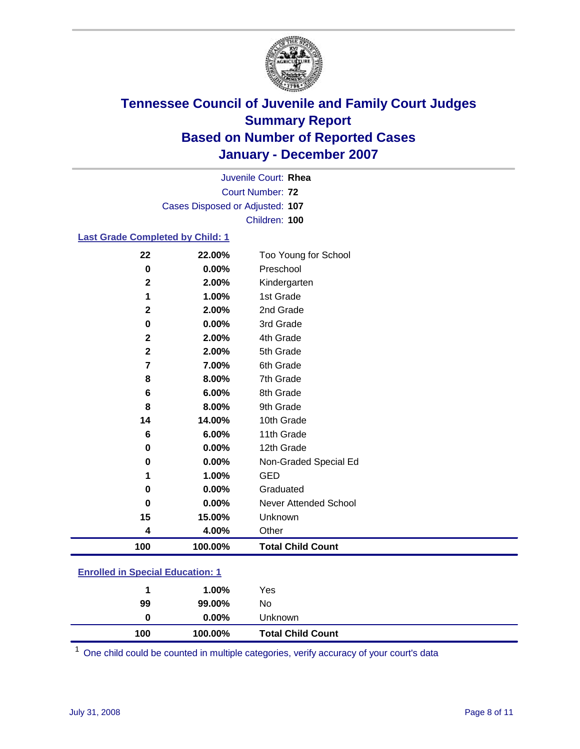

Court Number: **72** Juvenile Court: **Rhea** Cases Disposed or Adjusted: **107** Children: **100**

### **Last Grade Completed by Child: 1**

| 22           | 22.00%  | Too Young for School     |
|--------------|---------|--------------------------|
| 0            | 0.00%   | Preschool                |
| $\mathbf 2$  | 2.00%   | Kindergarten             |
| 1            | 1.00%   | 1st Grade                |
| $\mathbf{2}$ | 2.00%   | 2nd Grade                |
| 0            | 0.00%   | 3rd Grade                |
| $\mathbf{2}$ | 2.00%   | 4th Grade                |
| $\mathbf{2}$ | 2.00%   | 5th Grade                |
| 7            | 7.00%   | 6th Grade                |
| 8            | 8.00%   | 7th Grade                |
| 6            | 6.00%   | 8th Grade                |
| 8            | 8.00%   | 9th Grade                |
| 14           | 14.00%  | 10th Grade               |
| 6            | 6.00%   | 11th Grade               |
| 0            | 0.00%   | 12th Grade               |
| 0            | 0.00%   | Non-Graded Special Ed    |
| 1            | 1.00%   | <b>GED</b>               |
| 0            | 0.00%   | Graduated                |
| 0            | 0.00%   | Never Attended School    |
| 15           | 15.00%  | Unknown                  |
| 4            | 4.00%   | Other                    |
| 100          | 100.00% | <b>Total Child Count</b> |

### **Enrolled in Special Education: 1**

| 100 | 100.00%  | <b>Total Child Count</b> |
|-----|----------|--------------------------|
| 0   | $0.00\%$ | Unknown                  |
| 99  | 99.00%   | No                       |
|     | $1.00\%$ | Yes                      |
|     |          |                          |

<sup>1</sup> One child could be counted in multiple categories, verify accuracy of your court's data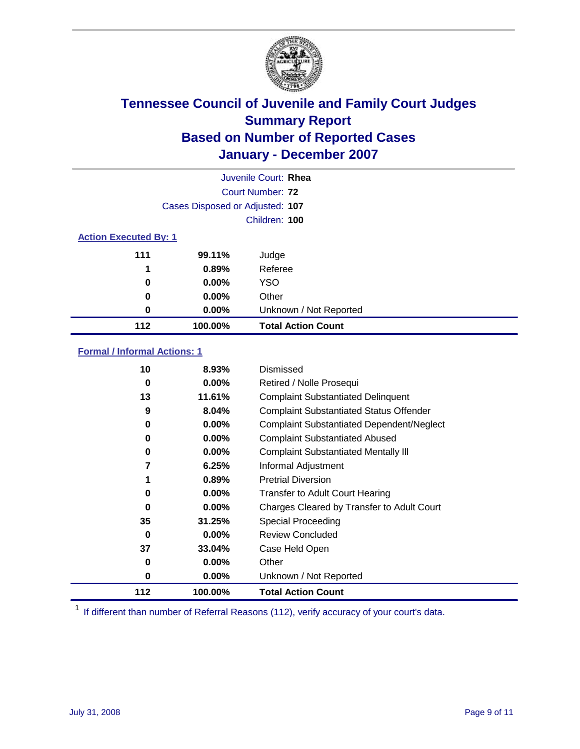

|                              |                                 | Juvenile Court: Rhea      |
|------------------------------|---------------------------------|---------------------------|
|                              |                                 | Court Number: 72          |
|                              | Cases Disposed or Adjusted: 107 |                           |
|                              |                                 | Children: 100             |
| <b>Action Executed By: 1</b> |                                 |                           |
| 111                          | 99.11%                          | Judge                     |
| 1                            | 0.89%                           | Referee                   |
| 0                            | $0.00\%$                        | <b>YSO</b>                |
| 0                            | $0.00\%$                        | Other                     |
| 0                            | $0.00\%$                        | Unknown / Not Reported    |
| 112                          | 100.00%                         | <b>Total Action Count</b> |

### **Formal / Informal Actions: 1**

| 10  | 8.93%    | Dismissed                                        |
|-----|----------|--------------------------------------------------|
| 0   | $0.00\%$ | Retired / Nolle Prosequi                         |
| 13  | 11.61%   | <b>Complaint Substantiated Delinquent</b>        |
| 9   | 8.04%    | <b>Complaint Substantiated Status Offender</b>   |
| 0   | 0.00%    | <b>Complaint Substantiated Dependent/Neglect</b> |
| 0   | $0.00\%$ | <b>Complaint Substantiated Abused</b>            |
| 0   | $0.00\%$ | <b>Complaint Substantiated Mentally III</b>      |
| 7   | 6.25%    | Informal Adjustment                              |
| 1   | 0.89%    | <b>Pretrial Diversion</b>                        |
| 0   | 0.00%    | <b>Transfer to Adult Court Hearing</b>           |
| 0   | $0.00\%$ | Charges Cleared by Transfer to Adult Court       |
| 35  | 31.25%   | Special Proceeding                               |
| 0   | $0.00\%$ | <b>Review Concluded</b>                          |
| 37  | 33.04%   | Case Held Open                                   |
| 0   | $0.00\%$ | Other                                            |
| 0   | $0.00\%$ | Unknown / Not Reported                           |
| 112 | 100.00%  | <b>Total Action Count</b>                        |

<sup>1</sup> If different than number of Referral Reasons (112), verify accuracy of your court's data.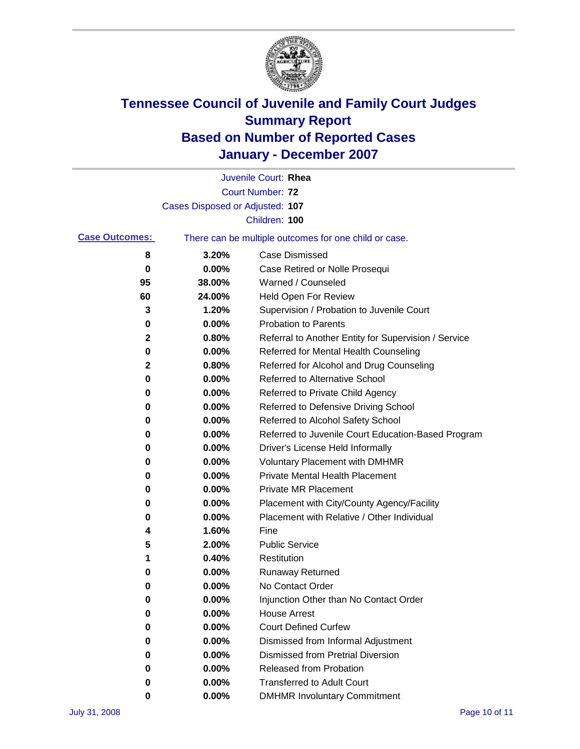

|                       |                                 | Juvenile Court: Rhea                                  |
|-----------------------|---------------------------------|-------------------------------------------------------|
|                       |                                 | Court Number: 72                                      |
|                       | Cases Disposed or Adjusted: 107 |                                                       |
|                       |                                 | Children: 100                                         |
| <b>Case Outcomes:</b> |                                 | There can be multiple outcomes for one child or case. |
| 8                     | 3.20%                           | <b>Case Dismissed</b>                                 |
| 0                     | 0.00%                           | Case Retired or Nolle Prosequi                        |
| 95                    | 38.00%                          | Warned / Counseled                                    |
| 60                    | 24.00%                          | Held Open For Review                                  |
| 3                     | 1.20%                           | Supervision / Probation to Juvenile Court             |
| 0                     | 0.00%                           | <b>Probation to Parents</b>                           |
| 2                     | 0.80%                           | Referral to Another Entity for Supervision / Service  |
| 0                     | 0.00%                           | Referred for Mental Health Counseling                 |
| $\mathbf{2}$          | 0.80%                           | Referred for Alcohol and Drug Counseling              |
| 0                     | 0.00%                           | Referred to Alternative School                        |
| 0                     | 0.00%                           | Referred to Private Child Agency                      |
| 0                     | 0.00%                           | Referred to Defensive Driving School                  |
| 0                     | 0.00%                           | Referred to Alcohol Safety School                     |
| 0                     | 0.00%                           | Referred to Juvenile Court Education-Based Program    |
| 0                     | 0.00%                           | Driver's License Held Informally                      |
| 0                     | 0.00%                           | <b>Voluntary Placement with DMHMR</b>                 |
| 0                     | 0.00%                           | <b>Private Mental Health Placement</b>                |
| 0                     | 0.00%                           | <b>Private MR Placement</b>                           |
| 0                     | 0.00%                           | Placement with City/County Agency/Facility            |
| 0                     | 0.00%                           | Placement with Relative / Other Individual            |
| 4                     | 1.60%                           | Fine                                                  |
| 5                     | 2.00%                           | <b>Public Service</b>                                 |
| 1                     | 0.40%                           | Restitution                                           |
| 0                     | 0.00%                           | <b>Runaway Returned</b>                               |
| 0                     | 0.00%                           | No Contact Order                                      |
| 0                     | 0.00%                           | Injunction Other than No Contact Order                |
| 0                     | 0.00%                           | <b>House Arrest</b>                                   |
| 0                     | 0.00%                           | <b>Court Defined Curfew</b>                           |
| 0                     | 0.00%                           | Dismissed from Informal Adjustment                    |
| 0                     | 0.00%                           | <b>Dismissed from Pretrial Diversion</b>              |
| 0                     | 0.00%                           | Released from Probation                               |
| 0                     | 0.00%                           | <b>Transferred to Adult Court</b>                     |
| 0                     | 0.00%                           | <b>DMHMR Involuntary Commitment</b>                   |